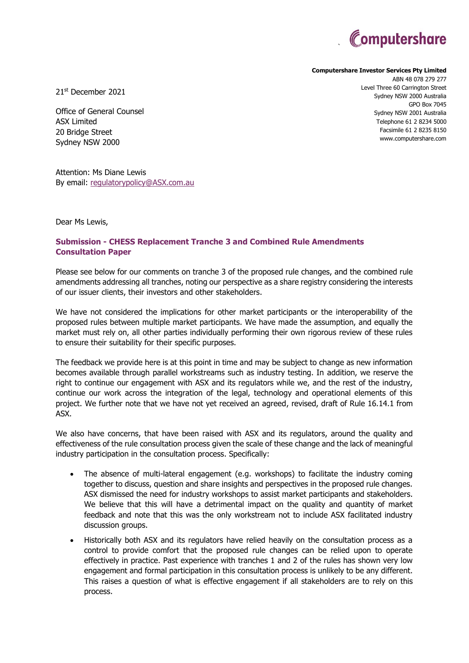

**Computershare Investor Services Pty Limited**

`

21st December 2021

Office of General Counsel ASX Limited 20 Bridge Street Sydney NSW 2000

Attention: Ms Diane Lewis By email: [regulatorypolicy@ASX.com.au](mailto:regulatorypolicy@ASX.com.au)

Dear Ms Lewis,

# **Submission - CHESS Replacement Tranche 3 and Combined Rule Amendments Consultation Paper**

Please see below for our comments on tranche 3 of the proposed rule changes, and the combined rule amendments addressing all tranches, noting our perspective as a share registry considering the interests of our issuer clients, their investors and other stakeholders.

We have not considered the implications for other market participants or the interoperability of the proposed rules between multiple market participants. We have made the assumption, and equally the market must rely on, all other parties individually performing their own rigorous review of these rules to ensure their suitability for their specific purposes.

The feedback we provide here is at this point in time and may be subject to change as new information becomes available through parallel workstreams such as industry testing. In addition, we reserve the right to continue our engagement with ASX and its regulators while we, and the rest of the industry, continue our work across the integration of the legal, technology and operational elements of this project. We further note that we have not yet received an agreed, revised, draft of Rule 16.14.1 from ASX.

We also have concerns, that have been raised with ASX and its regulators, around the quality and effectiveness of the rule consultation process given the scale of these change and the lack of meaningful industry participation in the consultation process. Specifically:

- The absence of multi-lateral engagement (e.g. workshops) to facilitate the industry coming together to discuss, question and share insights and perspectives in the proposed rule changes. ASX dismissed the need for industry workshops to assist market participants and stakeholders. We believe that this will have a detrimental impact on the quality and quantity of market feedback and note that this was the only workstream not to include ASX facilitated industry discussion groups.
- Historically both ASX and its regulators have relied heavily on the consultation process as a control to provide comfort that the proposed rule changes can be relied upon to operate effectively in practice. Past experience with tranches 1 and 2 of the rules has shown very low engagement and formal participation in this consultation process is unlikely to be any different. This raises a question of what is effective engagement if all stakeholders are to rely on this process.

ABN 48 078 279 277 Level Three 60 Carrington Street Sydney NSW 2000 Australia GPO Box 7045 Sydney NSW 2001 Australia Telephone 61 2 8234 5000 Facsimile 61 2 8235 8150 www.computershare.com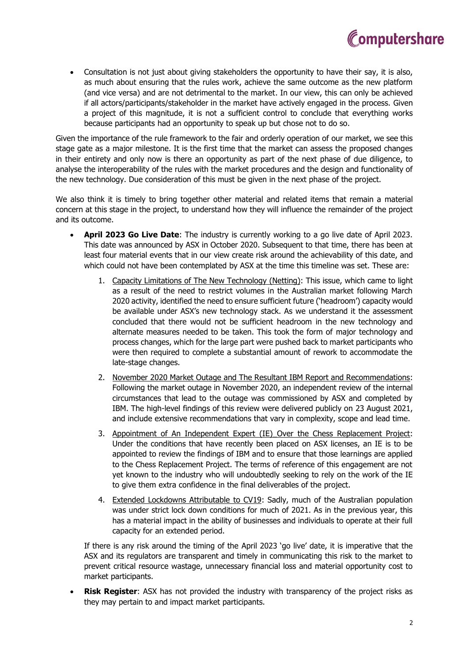

• Consultation is not just about giving stakeholders the opportunity to have their say, it is also, as much about ensuring that the rules work, achieve the same outcome as the new platform (and vice versa) and are not detrimental to the market. In our view, this can only be achieved if all actors/participants/stakeholder in the market have actively engaged in the process. Given a project of this magnitude, it is not a sufficient control to conclude that everything works because participants had an opportunity to speak up but chose not to do so.

Given the importance of the rule framework to the fair and orderly operation of our market, we see this stage gate as a major milestone. It is the first time that the market can assess the proposed changes in their entirety and only now is there an opportunity as part of the next phase of due diligence, to analyse the interoperability of the rules with the market procedures and the design and functionality of the new technology. Due consideration of this must be given in the next phase of the project.

We also think it is timely to bring together other material and related items that remain a material concern at this stage in the project, to understand how they will influence the remainder of the project and its outcome.

- **April 2023 Go Live Date**: The industry is currently working to a go live date of April 2023. This date was announced by ASX in October 2020. Subsequent to that time, there has been at least four material events that in our view create risk around the achievability of this date, and which could not have been contemplated by ASX at the time this timeline was set. These are:
	- 1. Capacity Limitations of The New Technology (Netting): This issue, which came to light as a result of the need to restrict volumes in the Australian market following March 2020 activity, identified the need to ensure sufficient future ('headroom') capacity would be available under ASX's new technology stack. As we understand it the assessment concluded that there would not be sufficient headroom in the new technology and alternate measures needed to be taken. This took the form of major technology and process changes, which for the large part were pushed back to market participants who were then required to complete a substantial amount of rework to accommodate the late-stage changes.
	- 2. November 2020 Market Outage and The Resultant IBM Report and Recommendations: Following the market outage in November 2020, an independent review of the internal circumstances that lead to the outage was commissioned by ASX and completed by IBM. The high-level findings of this review were delivered publicly on 23 August 2021, and include extensive recommendations that vary in complexity, scope and lead time.
	- 3. Appointment of An Independent Expert (IE) Over the Chess Replacement Project: Under the conditions that have recently been placed on ASX licenses, an IE is to be appointed to review the findings of IBM and to ensure that those learnings are applied to the Chess Replacement Project. The terms of reference of this engagement are not yet known to the industry who will undoubtedly seeking to rely on the work of the IE to give them extra confidence in the final deliverables of the project.
	- 4. Extended Lockdowns Attributable to CV19: Sadly, much of the Australian population was under strict lock down conditions for much of 2021. As in the previous year, this has a material impact in the ability of businesses and individuals to operate at their full capacity for an extended period.

If there is any risk around the timing of the April 2023 'go live' date, it is imperative that the ASX and its regulators are transparent and timely in communicating this risk to the market to prevent critical resource wastage, unnecessary financial loss and material opportunity cost to market participants.

**Risk Register**: ASX has not provided the industry with transparency of the project risks as they may pertain to and impact market participants.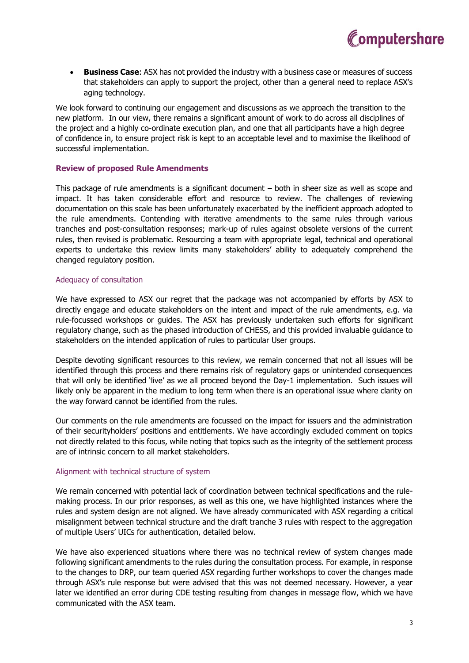• **Business Case**: ASX has not provided the industry with a business case or measures of success that stakeholders can apply to support the project, other than a general need to replace ASX's aging technology.

We look forward to continuing our engagement and discussions as we approach the transition to the new platform. In our view, there remains a significant amount of work to do across all disciplines of the project and a highly co-ordinate execution plan, and one that all participants have a high degree of confidence in, to ensure project risk is kept to an acceptable level and to maximise the likelihood of successful implementation.

# **Review of proposed Rule Amendments**

This package of rule amendments is a significant document – both in sheer size as well as scope and impact. It has taken considerable effort and resource to review. The challenges of reviewing documentation on this scale has been unfortunately exacerbated by the inefficient approach adopted to the rule amendments. Contending with iterative amendments to the same rules through various tranches and post-consultation responses; mark-up of rules against obsolete versions of the current rules, then revised is problematic. Resourcing a team with appropriate legal, technical and operational experts to undertake this review limits many stakeholders' ability to adequately comprehend the changed regulatory position.

## Adequacy of consultation

We have expressed to ASX our regret that the package was not accompanied by efforts by ASX to directly engage and educate stakeholders on the intent and impact of the rule amendments, e.g. via rule-focussed workshops or guides. The ASX has previously undertaken such efforts for significant regulatory change, such as the phased introduction of CHESS, and this provided invaluable guidance to stakeholders on the intended application of rules to particular User groups.

Despite devoting significant resources to this review, we remain concerned that not all issues will be identified through this process and there remains risk of regulatory gaps or unintended consequences that will only be identified 'live' as we all proceed beyond the Day-1 implementation. Such issues will likely only be apparent in the medium to long term when there is an operational issue where clarity on the way forward cannot be identified from the rules.

Our comments on the rule amendments are focussed on the impact for issuers and the administration of their securityholders' positions and entitlements. We have accordingly excluded comment on topics not directly related to this focus, while noting that topics such as the integrity of the settlement process are of intrinsic concern to all market stakeholders.

### Alignment with technical structure of system

We remain concerned with potential lack of coordination between technical specifications and the rulemaking process. In our prior responses, as well as this one, we have highlighted instances where the rules and system design are not aligned. We have already communicated with ASX regarding a critical misalignment between technical structure and the draft tranche 3 rules with respect to the aggregation of multiple Users' UICs for authentication, detailed below.

We have also experienced situations where there was no technical review of system changes made following significant amendments to the rules during the consultation process. For example, in response to the changes to DRP, our team queried ASX regarding further workshops to cover the changes made through ASX's rule response but were advised that this was not deemed necessary. However, a year later we identified an error during CDE testing resulting from changes in message flow, which we have communicated with the ASX team.

Computershare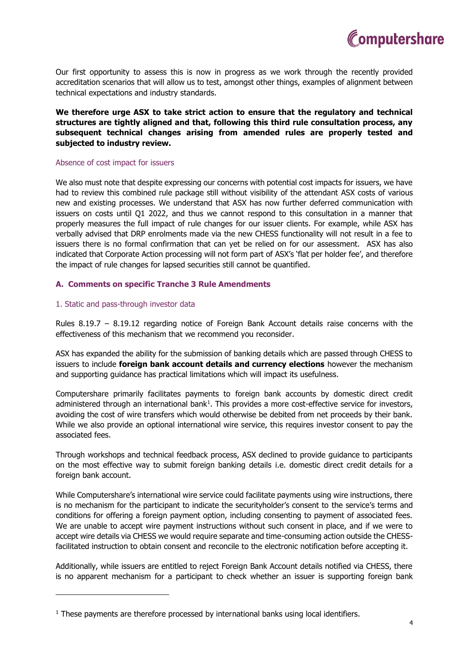

Our first opportunity to assess this is now in progress as we work through the recently provided accreditation scenarios that will allow us to test, amongst other things, examples of alignment between technical expectations and industry standards.

# **We therefore urge ASX to take strict action to ensure that the regulatory and technical structures are tightly aligned and that, following this third rule consultation process, any subsequent technical changes arising from amended rules are properly tested and subjected to industry review.**

#### Absence of cost impact for issuers

We also must note that despite expressing our concerns with potential cost impacts for issuers, we have had to review this combined rule package still without visibility of the attendant ASX costs of various new and existing processes. We understand that ASX has now further deferred communication with issuers on costs until Q1 2022, and thus we cannot respond to this consultation in a manner that properly measures the full impact of rule changes for our issuer clients. For example, while ASX has verbally advised that DRP enrolments made via the new CHESS functionality will not result in a fee to issuers there is no formal confirmation that can yet be relied on for our assessment. ASX has also indicated that Corporate Action processing will not form part of ASX's 'flat per holder fee', and therefore the impact of rule changes for lapsed securities still cannot be quantified.

## **A. Comments on specific Tranche 3 Rule Amendments**

#### 1. Static and pass-through investor data

Rules 8.19.7 – 8.19.12 regarding notice of Foreign Bank Account details raise concerns with the effectiveness of this mechanism that we recommend you reconsider.

ASX has expanded the ability for the submission of banking details which are passed through CHESS to issuers to include **foreign bank account details and currency elections** however the mechanism and supporting guidance has practical limitations which will impact its usefulness.

Computershare primarily facilitates payments to foreign bank accounts by domestic direct credit administered through an international bank<sup>1</sup>. This provides a more cost-effective service for investors, avoiding the cost of wire transfers which would otherwise be debited from net proceeds by their bank. While we also provide an optional international wire service, this requires investor consent to pay the associated fees.

Through workshops and technical feedback process, ASX declined to provide guidance to participants on the most effective way to submit foreign banking details i.e. domestic direct credit details for a foreign bank account.

While Computershare's international wire service could facilitate payments using wire instructions, there is no mechanism for the participant to indicate the securityholder's consent to the service's terms and conditions for offering a foreign payment option, including consenting to payment of associated fees. We are unable to accept wire payment instructions without such consent in place, and if we were to accept wire details via CHESS we would require separate and time-consuming action outside the CHESSfacilitated instruction to obtain consent and reconcile to the electronic notification before accepting it.

Additionally, while issuers are entitled to reject Foreign Bank Account details notified via CHESS, there is no apparent mechanism for a participant to check whether an issuer is supporting foreign bank

<sup>&</sup>lt;sup>1</sup> These payments are therefore processed by international banks using local identifiers.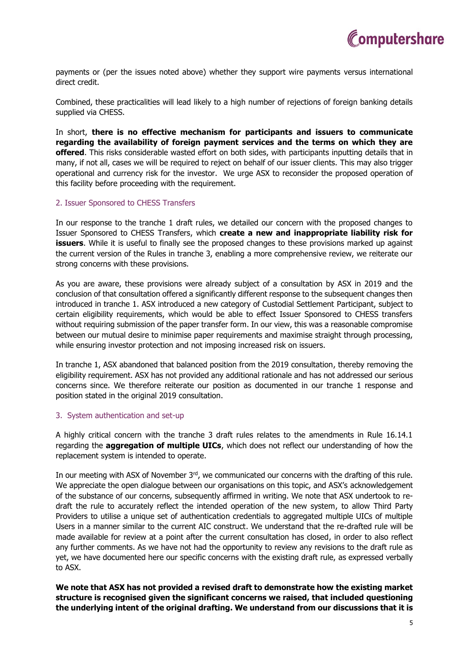

payments or (per the issues noted above) whether they support wire payments versus international direct credit.

Combined, these practicalities will lead likely to a high number of rejections of foreign banking details supplied via CHESS.

In short, **there is no effective mechanism for participants and issuers to communicate regarding the availability of foreign payment services and the terms on which they are offered**. This risks considerable wasted effort on both sides, with participants inputting details that in many, if not all, cases we will be required to reject on behalf of our issuer clients. This may also trigger operational and currency risk for the investor. We urge ASX to reconsider the proposed operation of this facility before proceeding with the requirement.

## 2. Issuer Sponsored to CHESS Transfers

In our response to the tranche 1 draft rules, we detailed our concern with the proposed changes to Issuer Sponsored to CHESS Transfers, which **create a new and inappropriate liability risk for issuers**. While it is useful to finally see the proposed changes to these provisions marked up against the current version of the Rules in tranche 3, enabling a more comprehensive review, we reiterate our strong concerns with these provisions.

As you are aware, these provisions were already subject of a consultation by ASX in 2019 and the conclusion of that consultation offered a significantly different response to the subsequent changes then introduced in tranche 1. ASX introduced a new category of Custodial Settlement Participant, subject to certain eligibility requirements, which would be able to effect Issuer Sponsored to CHESS transfers without requiring submission of the paper transfer form. In our view, this was a reasonable compromise between our mutual desire to minimise paper requirements and maximise straight through processing, while ensuring investor protection and not imposing increased risk on issuers.

In tranche 1, ASX abandoned that balanced position from the 2019 consultation, thereby removing the eligibility requirement. ASX has not provided any additional rationale and has not addressed our serious concerns since. We therefore reiterate our position as documented in our tranche 1 response and position stated in the original 2019 consultation.

# 3. System authentication and set-up

A highly critical concern with the tranche 3 draft rules relates to the amendments in Rule 16.14.1 regarding the **aggregation of multiple UICs**, which does not reflect our understanding of how the replacement system is intended to operate.

In our meeting with ASX of November 3rd, we communicated our concerns with the drafting of this rule. We appreciate the open dialogue between our organisations on this topic, and ASX's acknowledgement of the substance of our concerns, subsequently affirmed in writing. We note that ASX undertook to redraft the rule to accurately reflect the intended operation of the new system, to allow Third Party Providers to utilise a unique set of authentication credentials to aggregated multiple UICs of multiple Users in a manner similar to the current AIC construct. We understand that the re-drafted rule will be made available for review at a point after the current consultation has closed, in order to also reflect any further comments. As we have not had the opportunity to review any revisions to the draft rule as yet, we have documented here our specific concerns with the existing draft rule, as expressed verbally to ASX.

**We note that ASX has not provided a revised draft to demonstrate how the existing market structure is recognised given the significant concerns we raised, that included questioning the underlying intent of the original drafting. We understand from our discussions that it is**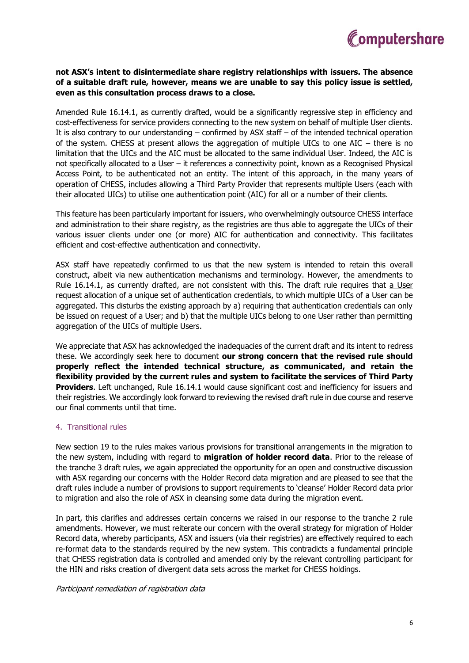

# **not ASX's intent to disintermediate share registry relationships with issuers. The absence of a suitable draft rule, however, means we are unable to say this policy issue is settled, even as this consultation process draws to a close.**

Amended Rule 16.14.1, as currently drafted, would be a significantly regressive step in efficiency and cost-effectiveness for service providers connecting to the new system on behalf of multiple User clients. It is also contrary to our understanding – confirmed by ASX staff – of the intended technical operation of the system. CHESS at present allows the aggregation of multiple UICs to one AIC – there is no limitation that the UICs and the AIC must be allocated to the same individual User. Indeed, the AIC is not specifically allocated to a User – it references a connectivity point, known as a Recognised Physical Access Point, to be authenticated not an entity. The intent of this approach, in the many years of operation of CHESS, includes allowing a Third Party Provider that represents multiple Users (each with their allocated UICs) to utilise one authentication point (AIC) for all or a number of their clients.

This feature has been particularly important for issuers, who overwhelmingly outsource CHESS interface and administration to their share registry, as the registries are thus able to aggregate the UICs of their various issuer clients under one (or more) AIC for authentication and connectivity. This facilitates efficient and cost-effective authentication and connectivity.

ASX staff have repeatedly confirmed to us that the new system is intended to retain this overall construct, albeit via new authentication mechanisms and terminology. However, the amendments to Rule 16.14.1, as currently drafted, are not consistent with this. The draft rule requires that a User request allocation of a unique set of authentication credentials, to which multiple UICs of a User can be aggregated. This disturbs the existing approach by a) requiring that authentication credentials can only be issued on request of a User; and b) that the multiple UICs belong to one User rather than permitting aggregation of the UICs of multiple Users.

We appreciate that ASX has acknowledged the inadequacies of the current draft and its intent to redress these. We accordingly seek here to document **our strong concern that the revised rule should properly reflect the intended technical structure, as communicated, and retain the flexibility provided by the current rules and system to facilitate the services of Third Party Providers**. Left unchanged, Rule 16.14.1 would cause significant cost and inefficiency for issuers and their registries. We accordingly look forward to reviewing the revised draft rule in due course and reserve our final comments until that time.

# 4. Transitional rules

New section 19 to the rules makes various provisions for transitional arrangements in the migration to the new system, including with regard to **migration of holder record data**. Prior to the release of the tranche 3 draft rules, we again appreciated the opportunity for an open and constructive discussion with ASX regarding our concerns with the Holder Record data migration and are pleased to see that the draft rules include a number of provisions to support requirements to 'cleanse' Holder Record data prior to migration and also the role of ASX in cleansing some data during the migration event.

In part, this clarifies and addresses certain concerns we raised in our response to the tranche 2 rule amendments. However, we must reiterate our concern with the overall strategy for migration of Holder Record data, whereby participants, ASX and issuers (via their registries) are effectively required to each re-format data to the standards required by the new system. This contradicts a fundamental principle that CHESS registration data is controlled and amended only by the relevant controlling participant for the HIN and risks creation of divergent data sets across the market for CHESS holdings.

# Participant remediation of registration data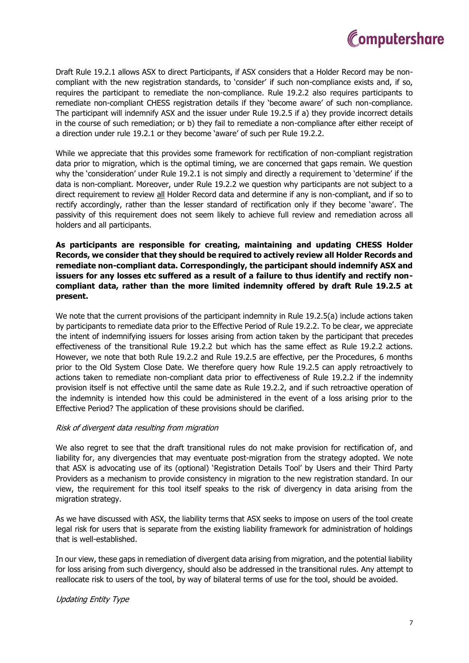

Draft Rule 19.2.1 allows ASX to direct Participants, if ASX considers that a Holder Record may be noncompliant with the new registration standards, to 'consider' if such non-compliance exists and, if so, requires the participant to remediate the non-compliance. Rule 19.2.2 also requires participants to remediate non-compliant CHESS registration details if they 'become aware' of such non-compliance. The participant will indemnify ASX and the issuer under Rule 19.2.5 if a) they provide incorrect details in the course of such remediation; or b) they fail to remediate a non-compliance after either receipt of a direction under rule 19.2.1 or they become 'aware' of such per Rule 19.2.2.

While we appreciate that this provides some framework for rectification of non-compliant registration data prior to migration, which is the optimal timing, we are concerned that gaps remain. We question why the 'consideration' under Rule 19.2.1 is not simply and directly a requirement to 'determine' if the data is non-compliant. Moreover, under Rule 19.2.2 we question why participants are not subject to a direct requirement to review all Holder Record data and determine if any is non-compliant, and if so to rectify accordingly, rather than the lesser standard of rectification only if they become 'aware'. The passivity of this requirement does not seem likely to achieve full review and remediation across all holders and all participants.

**As participants are responsible for creating, maintaining and updating CHESS Holder Records, we consider that they should be required to actively review all Holder Records and remediate non-compliant data. Correspondingly, the participant should indemnify ASX and issuers for any losses etc suffered as a result of a failure to thus identify and rectify noncompliant data, rather than the more limited indemnity offered by draft Rule 19.2.5 at present.** 

We note that the current provisions of the participant indemnity in Rule 19.2.5(a) include actions taken by participants to remediate data prior to the Effective Period of Rule 19.2.2. To be clear, we appreciate the intent of indemnifying issuers for losses arising from action taken by the participant that precedes effectiveness of the transitional Rule 19.2.2 but which has the same effect as Rule 19.2.2 actions. However, we note that both Rule 19.2.2 and Rule 19.2.5 are effective, per the Procedures, 6 months prior to the Old System Close Date. We therefore query how Rule 19.2.5 can apply retroactively to actions taken to remediate non-compliant data prior to effectiveness of Rule 19.2.2 if the indemnity provision itself is not effective until the same date as Rule 19.2.2, and if such retroactive operation of the indemnity is intended how this could be administered in the event of a loss arising prior to the Effective Period? The application of these provisions should be clarified.

#### Risk of divergent data resulting from migration

We also regret to see that the draft transitional rules do not make provision for rectification of, and liability for, any divergencies that may eventuate post-migration from the strategy adopted. We note that ASX is advocating use of its (optional) 'Registration Details Tool' by Users and their Third Party Providers as a mechanism to provide consistency in migration to the new registration standard. In our view, the requirement for this tool itself speaks to the risk of divergency in data arising from the migration strategy.

As we have discussed with ASX, the liability terms that ASX seeks to impose on users of the tool create legal risk for users that is separate from the existing liability framework for administration of holdings that is well-established.

In our view, these gaps in remediation of divergent data arising from migration, and the potential liability for loss arising from such divergency, should also be addressed in the transitional rules. Any attempt to reallocate risk to users of the tool, by way of bilateral terms of use for the tool, should be avoided.

# Updating Entity Type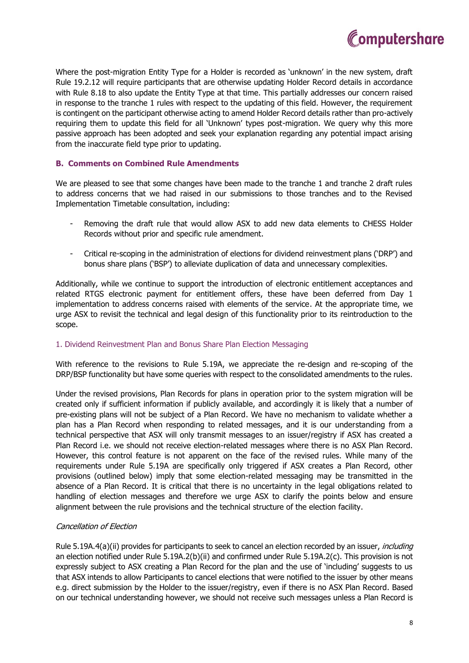

Where the post-migration Entity Type for a Holder is recorded as 'unknown' in the new system, draft Rule 19.2.12 will require participants that are otherwise updating Holder Record details in accordance with Rule 8.18 to also update the Entity Type at that time. This partially addresses our concern raised in response to the tranche 1 rules with respect to the updating of this field. However, the requirement is contingent on the participant otherwise acting to amend Holder Record details rather than pro-actively requiring them to update this field for all 'Unknown' types post-migration. We query why this more passive approach has been adopted and seek your explanation regarding any potential impact arising from the inaccurate field type prior to updating.

# **B. Comments on Combined Rule Amendments**

We are pleased to see that some changes have been made to the tranche 1 and tranche 2 draft rules to address concerns that we had raised in our submissions to those tranches and to the Revised Implementation Timetable consultation, including:

- Removing the draft rule that would allow ASX to add new data elements to CHESS Holder Records without prior and specific rule amendment.
- Critical re-scoping in the administration of elections for dividend reinvestment plans ('DRP') and bonus share plans ('BSP') to alleviate duplication of data and unnecessary complexities.

Additionally, while we continue to support the introduction of electronic entitlement acceptances and related RTGS electronic payment for entitlement offers, these have been deferred from Day 1 implementation to address concerns raised with elements of the service. At the appropriate time, we urge ASX to revisit the technical and legal design of this functionality prior to its reintroduction to the scope.

# 1. Dividend Reinvestment Plan and Bonus Share Plan Election Messaging

With reference to the revisions to Rule 5.19A, we appreciate the re-design and re-scoping of the DRP/BSP functionality but have some queries with respect to the consolidated amendments to the rules.

Under the revised provisions, Plan Records for plans in operation prior to the system migration will be created only if sufficient information if publicly available, and accordingly it is likely that a number of pre-existing plans will not be subject of a Plan Record. We have no mechanism to validate whether a plan has a Plan Record when responding to related messages, and it is our understanding from a technical perspective that ASX will only transmit messages to an issuer/registry if ASX has created a Plan Record i.e. we should not receive election-related messages where there is no ASX Plan Record. However, this control feature is not apparent on the face of the revised rules. While many of the requirements under Rule 5.19A are specifically only triggered if ASX creates a Plan Record, other provisions (outlined below) imply that some election-related messaging may be transmitted in the absence of a Plan Record. It is critical that there is no uncertainty in the legal obligations related to handling of election messages and therefore we urge ASX to clarify the points below and ensure alignment between the rule provisions and the technical structure of the election facility.

# Cancellation of Election

Rule 5.19A.4(a)(ii) provides for participants to seek to cancel an election recorded by an issuer, *including* an election notified under Rule 5.19A.2(b)(ii) and confirmed under Rule 5.19A.2(c). This provision is not expressly subject to ASX creating a Plan Record for the plan and the use of 'including' suggests to us that ASX intends to allow Participants to cancel elections that were notified to the issuer by other means e.g. direct submission by the Holder to the issuer/registry, even if there is no ASX Plan Record. Based on our technical understanding however, we should not receive such messages unless a Plan Record is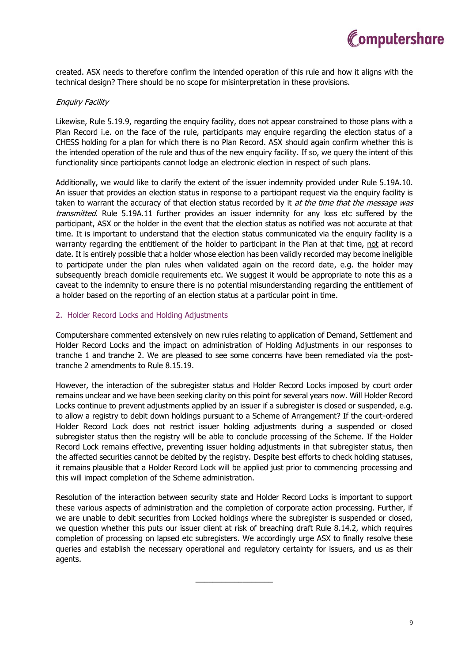

created. ASX needs to therefore confirm the intended operation of this rule and how it aligns with the technical design? There should be no scope for misinterpretation in these provisions.

## Enquiry Facility

Likewise, Rule 5.19.9, regarding the enquiry facility, does not appear constrained to those plans with a Plan Record i.e. on the face of the rule, participants may enquire regarding the election status of a CHESS holding for a plan for which there is no Plan Record. ASX should again confirm whether this is the intended operation of the rule and thus of the new enquiry facility. If so, we query the intent of this functionality since participants cannot lodge an electronic election in respect of such plans.

Additionally, we would like to clarify the extent of the issuer indemnity provided under Rule 5.19A.10. An issuer that provides an election status in response to a participant request via the enquiry facility is taken to warrant the accuracy of that election status recorded by it at the time that the message was transmitted. Rule 5.19A.11 further provides an issuer indemnity for any loss etc suffered by the participant, ASX or the holder in the event that the election status as notified was not accurate at that time. It is important to understand that the election status communicated via the enquiry facility is a warranty regarding the entitlement of the holder to participant in the Plan at that time, not at record date. It is entirely possible that a holder whose election has been validly recorded may become ineligible to participate under the plan rules when validated again on the record date, e.g. the holder may subsequently breach domicile requirements etc. We suggest it would be appropriate to note this as a caveat to the indemnity to ensure there is no potential misunderstanding regarding the entitlement of a holder based on the reporting of an election status at a particular point in time.

## 2. Holder Record Locks and Holding Adjustments

Computershare commented extensively on new rules relating to application of Demand, Settlement and Holder Record Locks and the impact on administration of Holding Adjustments in our responses to tranche 1 and tranche 2. We are pleased to see some concerns have been remediated via the posttranche 2 amendments to Rule 8.15.19.

However, the interaction of the subregister status and Holder Record Locks imposed by court order remains unclear and we have been seeking clarity on this point for several years now. Will Holder Record Locks continue to prevent adjustments applied by an issuer if a subregister is closed or suspended, e.g. to allow a registry to debit down holdings pursuant to a Scheme of Arrangement? If the court-ordered Holder Record Lock does not restrict issuer holding adjustments during a suspended or closed subregister status then the registry will be able to conclude processing of the Scheme. If the Holder Record Lock remains effective, preventing issuer holding adjustments in that subregister status, then the affected securities cannot be debited by the registry. Despite best efforts to check holding statuses, it remains plausible that a Holder Record Lock will be applied just prior to commencing processing and this will impact completion of the Scheme administration.

Resolution of the interaction between security state and Holder Record Locks is important to support these various aspects of administration and the completion of corporate action processing. Further, if we are unable to debit securities from Locked holdings where the subregister is suspended or closed, we question whether this puts our issuer client at risk of breaching draft Rule 8.14.2, which requires completion of processing on lapsed etc subregisters. We accordingly urge ASX to finally resolve these queries and establish the necessary operational and regulatory certainty for issuers, and us as their agents.

\_\_\_\_\_\_\_\_\_\_\_\_\_\_\_\_\_\_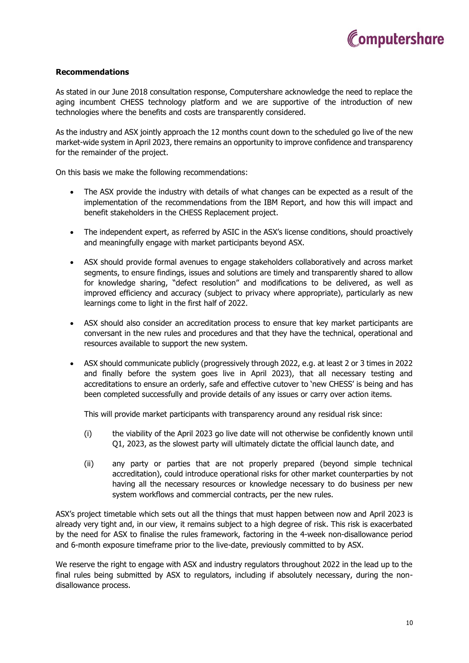

# **Recommendations**

As stated in our June 2018 consultation response, Computershare acknowledge the need to replace the aging incumbent CHESS technology platform and we are supportive of the introduction of new technologies where the benefits and costs are transparently considered.

As the industry and ASX jointly approach the 12 months count down to the scheduled go live of the new market-wide system in April 2023, there remains an opportunity to improve confidence and transparency for the remainder of the project.

On this basis we make the following recommendations:

- The ASX provide the industry with details of what changes can be expected as a result of the implementation of the recommendations from the IBM Report, and how this will impact and benefit stakeholders in the CHESS Replacement project.
- The independent expert, as referred by ASIC in the ASX's license conditions, should proactively and meaningfully engage with market participants beyond ASX.
- ASX should provide formal avenues to engage stakeholders collaboratively and across market segments, to ensure findings, issues and solutions are timely and transparently shared to allow for knowledge sharing, "defect resolution" and modifications to be delivered, as well as improved efficiency and accuracy (subject to privacy where appropriate), particularly as new learnings come to light in the first half of 2022.
- ASX should also consider an accreditation process to ensure that key market participants are conversant in the new rules and procedures and that they have the technical, operational and resources available to support the new system.
- ASX should communicate publicly (progressively through 2022, e.g. at least 2 or 3 times in 2022 and finally before the system goes live in April 2023), that all necessary testing and accreditations to ensure an orderly, safe and effective cutover to 'new CHESS' is being and has been completed successfully and provide details of any issues or carry over action items.

This will provide market participants with transparency around any residual risk since:

- (i) the viability of the April 2023 go live date will not otherwise be confidently known until Q1, 2023, as the slowest party will ultimately dictate the official launch date, and
- (ii) any party or parties that are not properly prepared (beyond simple technical accreditation), could introduce operational risks for other market counterparties by not having all the necessary resources or knowledge necessary to do business per new system workflows and commercial contracts, per the new rules.

ASX's project timetable which sets out all the things that must happen between now and April 2023 is already very tight and, in our view, it remains subject to a high degree of risk. This risk is exacerbated by the need for ASX to finalise the rules framework, factoring in the 4-week non-disallowance period and 6-month exposure timeframe prior to the live-date, previously committed to by ASX.

We reserve the right to engage with ASX and industry regulators throughout 2022 in the lead up to the final rules being submitted by ASX to regulators, including if absolutely necessary, during the nondisallowance process.